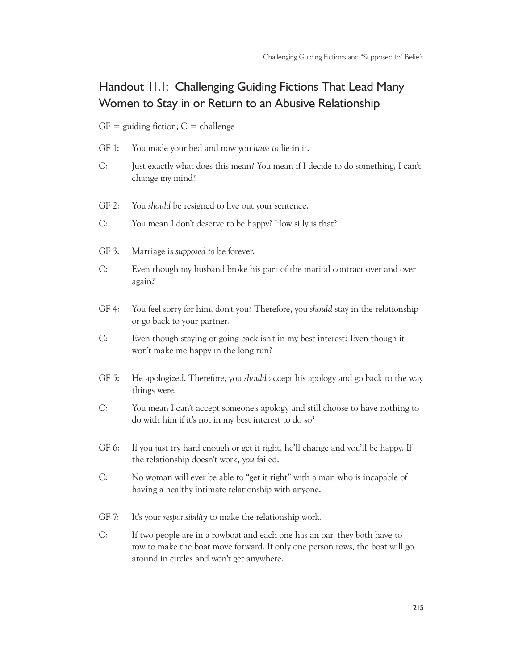## Handout 11.1: Challenging Guiding Fictions That Lead Many Women to Stay in or Return to an Abusive Relationship

 $GF =$  guiding fiction;  $C =$  challenge

- GF 1: You made your bed and now you *have to* lie in it.
- C: Just exactly what does this mean? You mean if I decide to do something, I can't change my mind?
- GF 2: You *should* be resigned to live out your sentence.
- C: You mean I don't deserve to be happy? How silly is that?
- GF 3: Marriage is *supposed to* be forever.
- C: Even though my husband broke his part of the marital contract over and over again?
- GF 4: You feel sorry for him, don't you? Therefore, you *should* stay in the relationship or go back to your partner.
- C: Even though staying or going back isn't in my best interest? Even though it won't make me happy in the long run?
- GF 5: He apologized. Therefore, you *should* accept his apology and go back to the way things were.
- C: You mean I can't accept someone's apology and still choose to have nothing to do with him if it's not in my best interest to do so?
- GF 6: If you just try hard enough or get it right, he'll change and you'll be happy. If the relationship doesn't work, *you* failed.
- C: No woman will ever be able to "get it right" with a man who is incapable of having a healthy intimate relationship with anyone.
- GF 7: It's your *responsibility* to make the relationship work.
- C: If two people are in a rowboat and each one has an oar, they both have to row to make the boat move forward. If only one person rows, the boat will go around in circles and won't get anywhere.